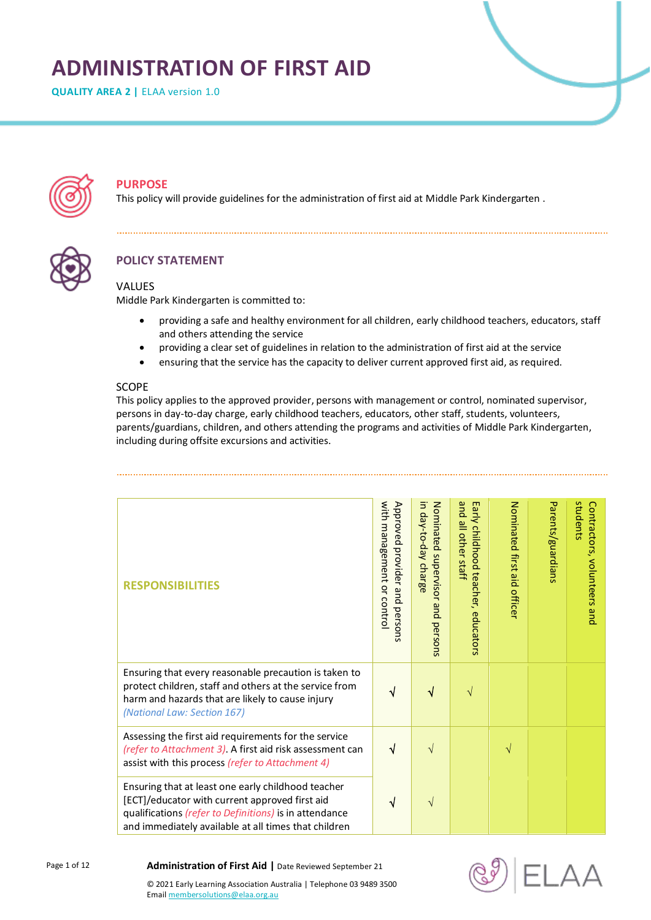# **ADMINISTRATION OF FIRST AID**

**QUALITY AREA 2 | ELAA version 1.0** 



## **PURPOSE**

This policy will provide guidelines for the administration of first aid at Middle Park Kindergarten .



# **POLICY STATEMENT**

## **VALUES**

Middle Park Kindergarten is committed to:

- providing a safe and healthy environment for all children, early childhood teachers, educators, staff and others attending the service
- providing a clear set of guidelines in relation to the administration of first aid at the service
- ensuring that the service has the capacity to deliver current approved first aid, as required.

### SCOPE

This policy applies to the approved provider, persons with management or control, nominated supervisor, persons in day-to-day charge, early childhood teachers, educators, other staff, students, volunteers, parents/guardians, children, and others attending the programs and activities of Middle Park Kindergarten, including during offsite excursions and activities.

| <b>RESPONSIBILITIES</b>                                                                                                                                                                                                | with<br>Approved<br>management<br>provider and<br>$\overline{a}$<br>control<br>persons | Nominated supervisor<br>in day-to-day<br>charge<br>pue.<br>persons | pue<br>Early childhood teacher, educators<br>all other staff | Nominated first aid officer | Parents/guardians | students<br>Contractors, volunteers and |
|------------------------------------------------------------------------------------------------------------------------------------------------------------------------------------------------------------------------|----------------------------------------------------------------------------------------|--------------------------------------------------------------------|--------------------------------------------------------------|-----------------------------|-------------------|-----------------------------------------|
| Ensuring that every reasonable precaution is taken to<br>protect children, staff and others at the service from<br>harm and hazards that are likely to cause injury<br>(National Law: Section 167)                     |                                                                                        |                                                                    | V                                                            |                             |                   |                                         |
| Assessing the first aid requirements for the service<br>(refer to Attachment 3). A first aid risk assessment can<br>assist with this process (refer to Attachment 4)                                                   | √                                                                                      | V                                                                  |                                                              | V                           |                   |                                         |
| Ensuring that at least one early childhood teacher<br>[ECT]/educator with current approved first aid<br>qualifications (refer to Definitions) is in attendance<br>and immediately available at all times that children | ٦I                                                                                     |                                                                    |                                                              |                             |                   |                                         |



**Administration of First Aid |** Date Reviewed September 21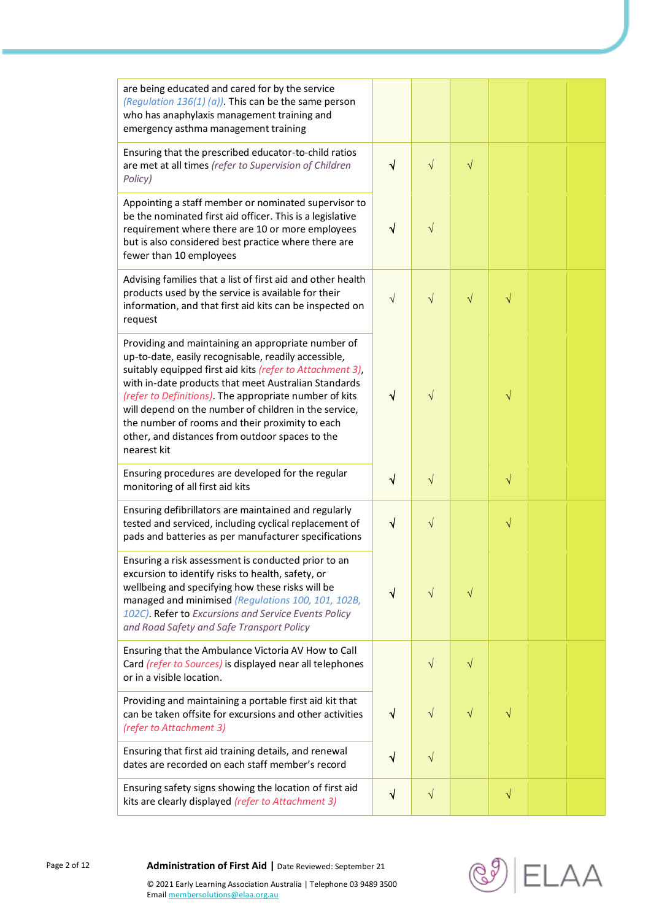| are being educated and cared for by the service<br>(Regulation $136(1)$ (a)). This can be the same person<br>who has anaphylaxis management training and<br>emergency asthma management training                                                                                                                                                                                                                                                                        |              |            |           |           |  |
|-------------------------------------------------------------------------------------------------------------------------------------------------------------------------------------------------------------------------------------------------------------------------------------------------------------------------------------------------------------------------------------------------------------------------------------------------------------------------|--------------|------------|-----------|-----------|--|
| Ensuring that the prescribed educator-to-child ratios<br>are met at all times (refer to Supervision of Children<br>Policy)                                                                                                                                                                                                                                                                                                                                              | $\sqrt{ }$   | $\sqrt{}$  | $\sqrt{}$ |           |  |
| Appointing a staff member or nominated supervisor to<br>be the nominated first aid officer. This is a legislative<br>requirement where there are 10 or more employees<br>but is also considered best practice where there are<br>fewer than 10 employees                                                                                                                                                                                                                | $\sqrt{ }$   | $\sqrt{}$  |           |           |  |
| Advising families that a list of first aid and other health<br>products used by the service is available for their<br>information, and that first aid kits can be inspected on<br>request                                                                                                                                                                                                                                                                               | $\sqrt{}$    | $\sqrt{}$  | $\sqrt{}$ | $\sqrt{}$ |  |
| Providing and maintaining an appropriate number of<br>up-to-date, easily recognisable, readily accessible,<br>suitably equipped first aid kits (refer to Attachment 3),<br>with in-date products that meet Australian Standards<br>(refer to Definitions). The appropriate number of kits<br>will depend on the number of children in the service,<br>the number of rooms and their proximity to each<br>other, and distances from outdoor spaces to the<br>nearest kit | $\sqrt{ }$   | $\sqrt{}$  |           | $\sqrt{}$ |  |
| Ensuring procedures are developed for the regular<br>monitoring of all first aid kits                                                                                                                                                                                                                                                                                                                                                                                   | $\checkmark$ | $\sqrt{}$  |           | $\sqrt{}$ |  |
| Ensuring defibrillators are maintained and regularly<br>tested and serviced, including cyclical replacement of<br>pads and batteries as per manufacturer specifications                                                                                                                                                                                                                                                                                                 | $\sqrt{}$    | $\sqrt{ }$ |           | $\sqrt{}$ |  |
| Ensuring a risk assessment is conducted prior to an<br>excursion to identify risks to health, safety, or<br>wellbeing and specifying how these risks will be<br>managed and minimised (Regulations 100, 101, 102B,<br>102C). Refer to Excursions and Service Events Policy<br>and Road Safety and Safe Transport Policy                                                                                                                                                 | √            | $\sqrt{}$  | $\sqrt{}$ |           |  |
| Ensuring that the Ambulance Victoria AV How to Call<br>Card (refer to Sources) is displayed near all telephones<br>or in a visible location.                                                                                                                                                                                                                                                                                                                            |              | $\sqrt{}$  | $\sqrt{}$ |           |  |
| Providing and maintaining a portable first aid kit that<br>can be taken offsite for excursions and other activities<br>(refer to Attachment 3)                                                                                                                                                                                                                                                                                                                          | $\sqrt{}$    | $\sqrt{}$  | $\sqrt{}$ | $\sqrt{}$ |  |
| Ensuring that first aid training details, and renewal<br>dates are recorded on each staff member's record                                                                                                                                                                                                                                                                                                                                                               | $\sqrt{}$    | $\sqrt{}$  |           |           |  |
| Ensuring safety signs showing the location of first aid<br>kits are clearly displayed (refer to Attachment 3)                                                                                                                                                                                                                                                                                                                                                           | $\sqrt{}$    | $\sqrt{}$  |           | $\sqrt{}$ |  |

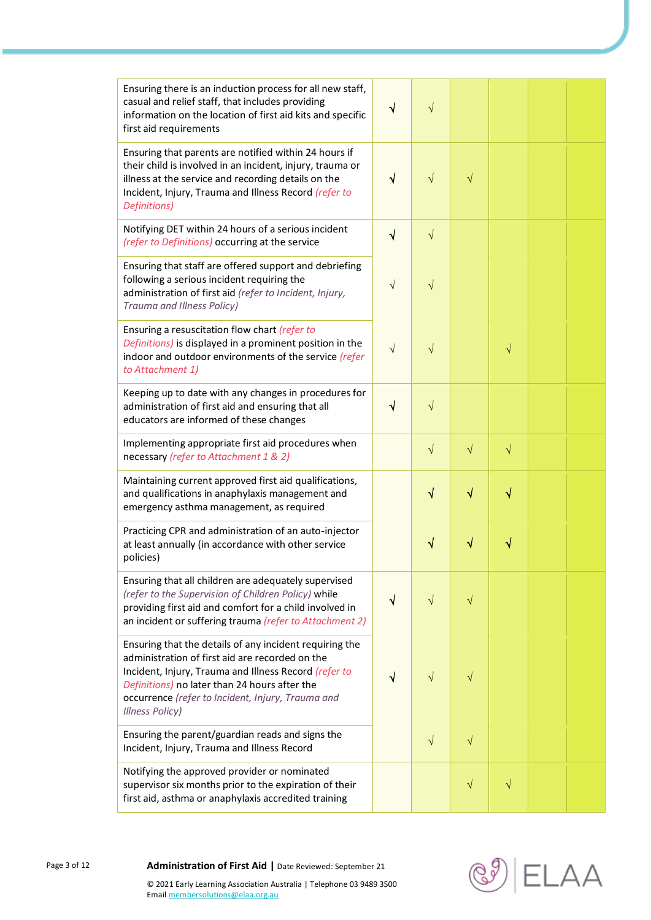| Ensuring there is an induction process for all new staff,<br>casual and relief staff, that includes providing<br>information on the location of first aid kits and specific<br>first aid requirements                                                                                               | $\sqrt{ }$ | $\sqrt{}$ |           |           |  |
|-----------------------------------------------------------------------------------------------------------------------------------------------------------------------------------------------------------------------------------------------------------------------------------------------------|------------|-----------|-----------|-----------|--|
| Ensuring that parents are notified within 24 hours if<br>their child is involved in an incident, injury, trauma or<br>illness at the service and recording details on the<br>Incident, Injury, Trauma and Illness Record (refer to<br>Definitions)                                                  | $\sqrt{}$  | $\sqrt{}$ | $\sqrt{}$ |           |  |
| Notifying DET within 24 hours of a serious incident<br>(refer to Definitions) occurring at the service                                                                                                                                                                                              | $\sqrt{}$  | $\sqrt{}$ |           |           |  |
| Ensuring that staff are offered support and debriefing<br>following a serious incident requiring the<br>administration of first aid (refer to Incident, Injury,<br>Trauma and Illness Policy)                                                                                                       | $\sqrt{}$  | $\sqrt{}$ |           |           |  |
| Ensuring a resuscitation flow chart (refer to<br>Definitions) is displayed in a prominent position in the<br>indoor and outdoor environments of the service (refer<br>to Attachment 1)                                                                                                              | $\sqrt{}$  | $\sqrt{}$ |           | V         |  |
| Keeping up to date with any changes in procedures for<br>administration of first aid and ensuring that all<br>educators are informed of these changes                                                                                                                                               | $\sqrt{}$  | $\sqrt{}$ |           |           |  |
| Implementing appropriate first aid procedures when<br>necessary (refer to Attachment 1 & 2)                                                                                                                                                                                                         |            | $\sqrt{}$ | $\sqrt{}$ | $\sqrt{}$ |  |
| Maintaining current approved first aid qualifications,<br>and qualifications in anaphylaxis management and<br>emergency asthma management, as required                                                                                                                                              |            | $\sqrt{}$ | √         | $\sqrt{}$ |  |
| Practicing CPR and administration of an auto-injector<br>at least annually (in accordance with other service<br>policies)                                                                                                                                                                           |            | V         | ٧         |           |  |
| Ensuring that all children are adequately supervised<br>(refer to the Supervision of Children Policy) while<br>providing first aid and comfort for a child involved in<br>an incident or suffering trauma (refer to Attachment 2)                                                                   | $\sqrt{}$  | $\sqrt{}$ | $\sqrt{}$ |           |  |
| Ensuring that the details of any incident requiring the<br>administration of first aid are recorded on the<br>Incident, Injury, Trauma and Illness Record (refer to<br>Definitions) no later than 24 hours after the<br>occurrence (refer to Incident, Injury, Trauma and<br><b>Illness Policy)</b> | √          | V         | V         |           |  |
| Ensuring the parent/guardian reads and signs the<br>Incident, Injury, Trauma and Illness Record                                                                                                                                                                                                     |            | $\sqrt{}$ | $\sqrt{}$ |           |  |
| Notifying the approved provider or nominated<br>supervisor six months prior to the expiration of their<br>first aid, asthma or anaphylaxis accredited training                                                                                                                                      |            |           | $\sqrt{}$ | V         |  |

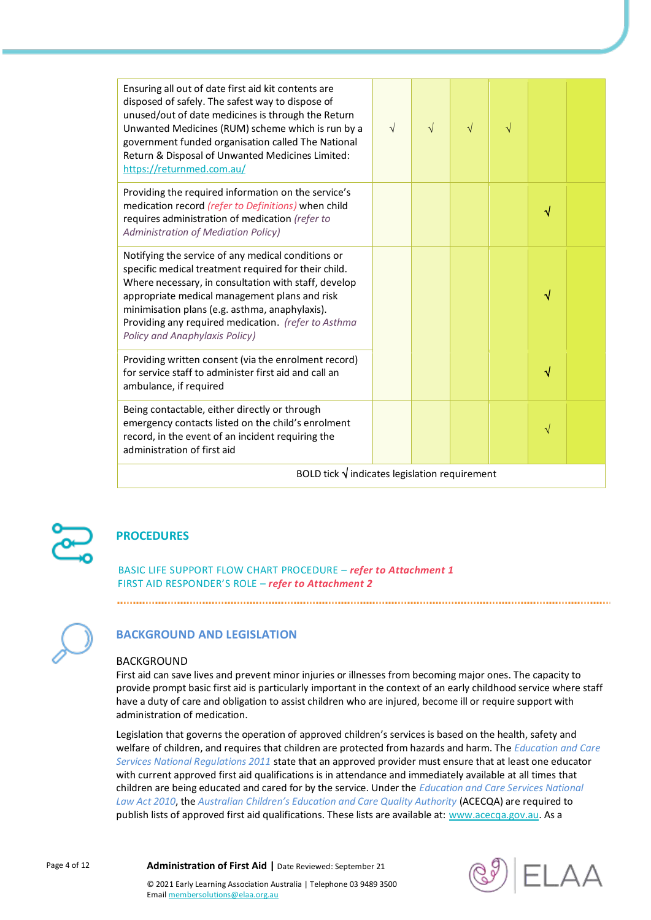| Ensuring all out of date first aid kit contents are<br>disposed of safely. The safest way to dispose of<br>unused/out of date medicines is through the Return<br>Unwanted Medicines (RUM) scheme which is run by a<br>government funded organisation called The National<br>Return & Disposal of Unwanted Medicines Limited:<br>https://returnmed.com.au/      | $\sqrt{ }$ | V | $\sqrt{}$ | V |           |  |
|----------------------------------------------------------------------------------------------------------------------------------------------------------------------------------------------------------------------------------------------------------------------------------------------------------------------------------------------------------------|------------|---|-----------|---|-----------|--|
| Providing the required information on the service's<br>medication record (refer to Definitions) when child<br>requires administration of medication (refer to<br><b>Administration of Mediation Policy)</b>                                                                                                                                                    |            |   |           |   | √         |  |
| Notifying the service of any medical conditions or<br>specific medical treatment required for their child.<br>Where necessary, in consultation with staff, develop<br>appropriate medical management plans and risk<br>minimisation plans (e.g. asthma, anaphylaxis).<br>Providing any required medication. (refer to Asthma<br>Policy and Anaphylaxis Policy) |            |   |           |   | √         |  |
| Providing written consent (via the enrolment record)<br>for service staff to administer first aid and call an<br>ambulance, if required                                                                                                                                                                                                                        |            |   |           |   | √         |  |
| Being contactable, either directly or through<br>emergency contacts listed on the child's enrolment<br>record, in the event of an incident requiring the<br>administration of first aid                                                                                                                                                                        |            |   |           |   | $\sqrt{}$ |  |
| BOLD tick $\sqrt{}$ indicates legislation requirement                                                                                                                                                                                                                                                                                                          |            |   |           |   |           |  |



# **PROCEDURES**

BASIC LIFE SUPPORT FLOW CHART PROCEDURE – *refer to Attachment 1* FIRST AID RESPONDER'S ROLE – *refer to Attachment 2*



## **BACKGROUND AND LEGISLATION**

#### BACKGROUND

First aid can save lives and prevent minor injuries or illnesses from becoming major ones. The capacity to provide prompt basic first aid is particularly important in the context of an early childhood service where staff have a duty of care and obligation to assist children who are injured, become ill or require support with administration of medication.

Legislation that governs the operation of approved children's services is based on the health, safety and welfare of children, and requires that children are protected from hazards and harm. The *Education and Care Services National Regulations 2011* state that an approved provider must ensure that at least one educator with current approved first aid qualifications is in attendance and immediately available at all times that children are being educated and cared for by the service. Under the *Education and Care Services National Law Act 2010*, the *Australian Children's Education and Care Quality Authority* (ACECQA) are required to publish lists of approved first aid qualifications. These lists are available at: [www.acecqa.gov.au.](http://www.acecqa.gov.au/) As a

Page 4 of 12 **Administration of First Aid |** Date Reviewed: September 21

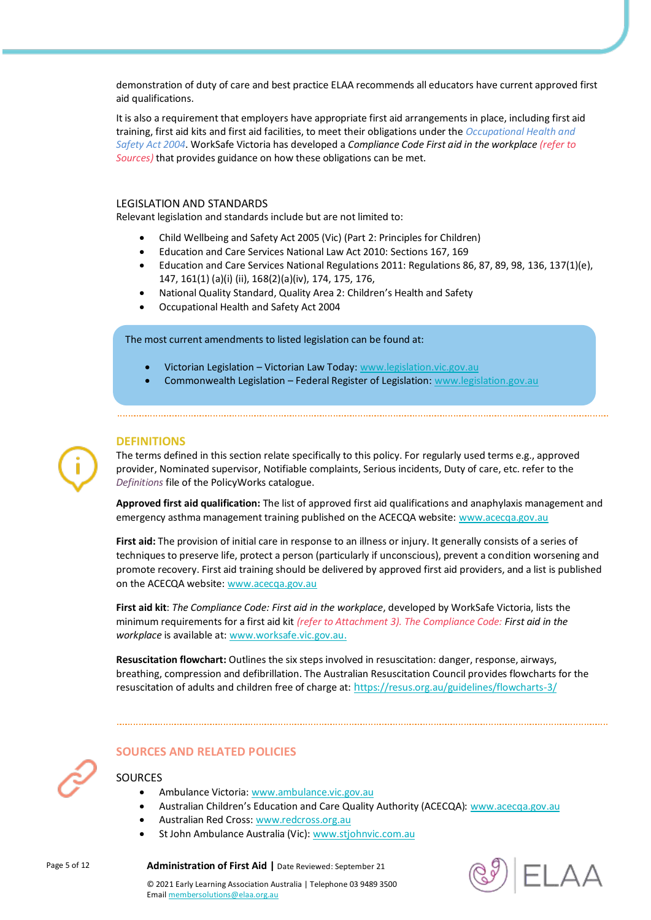demonstration of duty of care and best practice ELAA recommends all educators have current approved first aid qualifications.

It is also a requirement that employers have appropriate first aid arrangements in place, including first aid training, first aid kits and first aid facilities, to meet their obligations under the *Occupational Health and Safety Act 2004*. WorkSafe Victoria has developed a *Compliance Code First aid in the workplace (refer to Sources)* that provides guidance on how these obligations can be met.

#### LEGISLATION AND STANDARDS

Relevant legislation and standards include but are not limited to:

- Child Wellbeing and Safety Act 2005 (Vic) (Part 2: Principles for Children)
- Education and Care Services National Law Act 2010: Sections 167, 169
- Education and Care Services National Regulations 2011: Regulations 86, 87, 89, 98, 136, 137(1)(e), 147, 161(1) (a)(i) (ii), 168(2)(a)(iv), 174, 175, 176,
- National Quality Standard, Quality Area 2: Children's Health and Safety
- Occupational Health and Safety Act 2004

The most current amendments to listed legislation can be found at:

- Victorian Legislation Victorian Law Today[: www.legislation.vic.gov.au](http://www.legislation.vic.gov.au/)
- Commonwealth Legislation Federal Register of Legislation[: www.legislation.gov.au](http://www.legislation.gov.au/)

### **DEFINITIONS**

The terms defined in this section relate specifically to this policy. For regularly used terms e.g., approved provider, Nominated supervisor, Notifiable complaints, Serious incidents, Duty of care, etc. refer to the *Definitions* file of the PolicyWorks catalogue.

**Approved first aid qualification:** The list of approved first aid qualifications and anaphylaxis management and emergency asthma management training published on the ACECQA website[: www.acecqa.gov.au](http://www.acecqa.gov.au/)

**First aid:** The provision of initial care in response to an illness or injury. It generally consists of a series of techniques to preserve life, protect a person (particularly if unconscious), prevent a condition worsening and promote recovery. First aid training should be delivered by approved first aid providers, and a list is published on the ACECQA website: [www.acecqa.gov.au](https://www.acecqa.gov.au/qualifications)

**First aid kit**: *The Compliance Code: First aid in the workplace*, developed by WorkSafe Victoria, lists the minimum requirements for a first aid kit *(refer to Attachment 3). The Compliance Code: First aid in the workplace* is available at: [www.worksafe.vic.gov.au.](http://www.worksafe.vic.gov.au/)

**Resuscitation flowchart:** Outlines the six steps involved in resuscitation: danger, response, airways, breathing, compression and defibrillation. The Australian Resuscitation Council provides flowcharts for the resuscitation of adults and children free of charge at: h[ttps://resus.org.au/guidelines/flowcharts-3/](https://resus.org.au/guidelines/flowcharts-3/)

#### **SOURCES AND RELATED POLICIES**

## **SOURCES**

- Ambulance Victoria: [www.ambulance.vic.gov.au](http://www.ambulance.vic.gov.au/)
	- Australian Children's Education and Care Quality Authority (ACECQA): [www.acecqa.gov.au](http://www.acecqa.gov.au/)
- Australian Red Cross[: www.redcross.org.au](http://www.redcross.org.au/)
- St John Ambulance Australia (Vic): [www.stjohnvic.com.au](http://www.stjohnvic.com.au/)

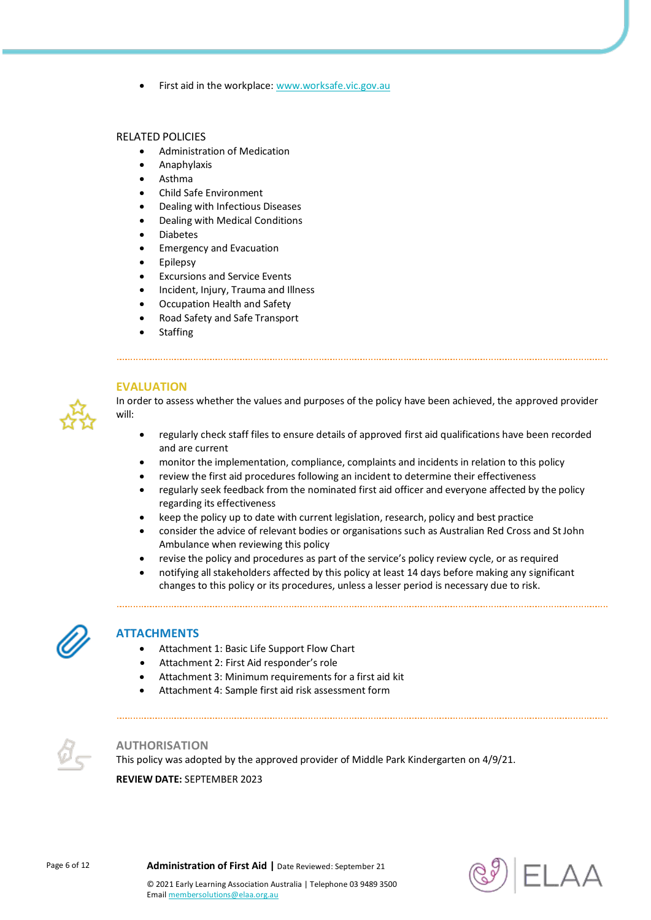First aid in the workplace[: www.worksafe.vic.gov.au](http://www.worksafe.vic.gov.au/)

#### RELATED POLICIES

- Administration of Medication
- Anaphylaxis
- Asthma
- Child Safe Environment
- Dealing with Infectious Diseases
- Dealing with Medical Conditions
- Diabetes
- Emergency and Evacuation
- Epilepsy
- Excursions and Service Events
- Incident, Injury, Trauma and Illness
- Occupation Health and Safety
- Road Safety and Safe Transport
- Staffing



**EVALUATION** In order to assess whether the values and purposes of the policy have been achieved, the approved provider will:

- regularly check staff files to ensure details of approved first aid qualifications have been recorded and are current
- monitor the implementation, compliance, complaints and incidents in relation to this policy
- review the first aid procedures following an incident to determine their effectiveness
- regularly seek feedback from the nominated first aid officer and everyone affected by the policy regarding its effectiveness
- keep the policy up to date with current legislation, research, policy and best practice

- consider the advice of relevant bodies or organisations such as Australian Red Cross and St John Ambulance when reviewing this policy
- revise the policy and procedures as part of the service's policy review cycle, or as required
- notifying all stakeholders affected by this policy at least 14 days before making any significant changes to this policy or its procedures, unless a lesser period is necessary due to risk.



## **ATTACHMENTS**

- Attachment 1: Basic Life Support Flow Chart
- Attachment 2: First Aid responder's role
- Attachment 3: Minimum requirements for a first aid kit
- Attachment 4: Sample first aid risk assessment form



## **AUTHORISATION**

This policy was adopted by the approved provider of Middle Park Kindergarten on 4/9/21. **REVIEW DATE:** SEPTEMBER 2023

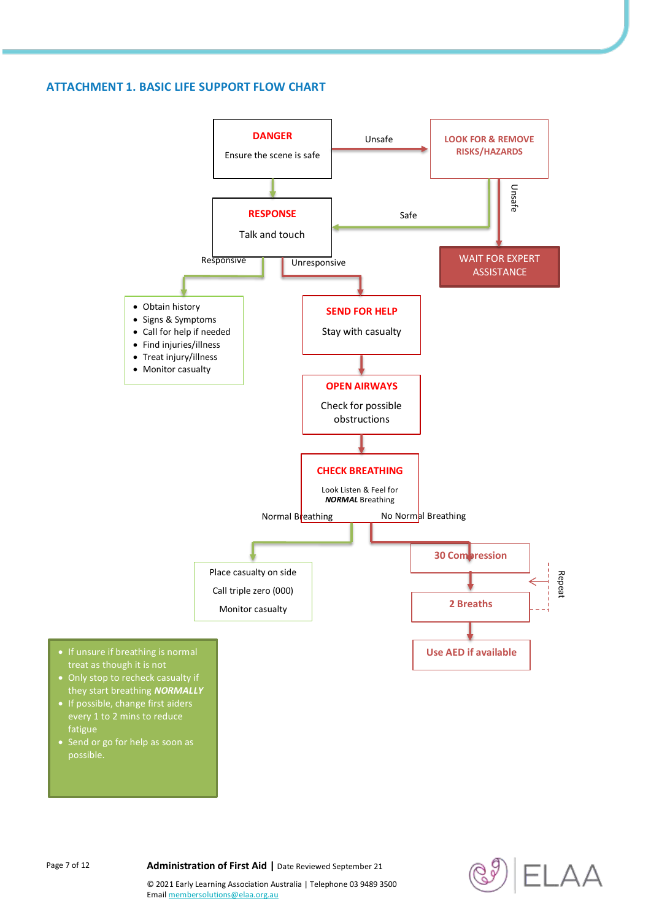## **ATTACHMENT 1. BASIC LIFE SUPPORT FLOW CHART**



Page 7 of 12 **Administration of First Aid** | Date Reviewed September 21

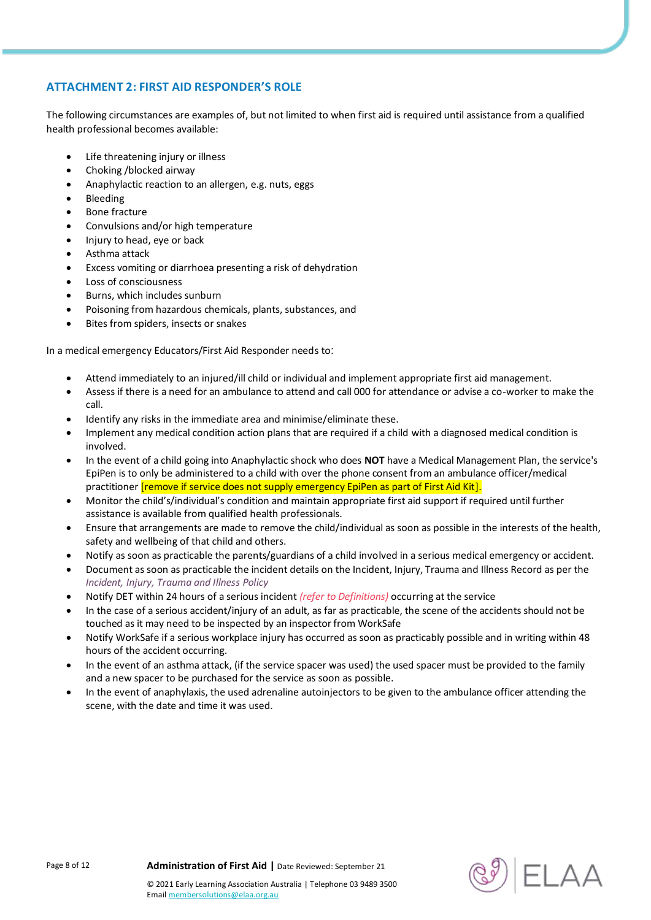## **ATTACHMENT 2: FIRST AID RESPONDER'S ROLE**

The following circumstances are examples of, but not limited to when first aid is required until assistance from a qualified health professional becomes available:

- Life threatening injury or illness
- Choking /blocked airway
- Anaphylactic reaction to an allergen, e.g. nuts, eggs
- Bleeding
- Bone fracture
- Convulsions and/or high temperature
- Injury to head, eye or back
- Asthma attack
- Excess vomiting or diarrhoea presenting a risk of dehydration
- Loss of consciousness
- Burns, which includes sunburn
- Poisoning from hazardous chemicals, plants, substances, and
- Bites from spiders, insects or snakes

In a medical emergency Educators/First Aid Responder needs to:

- Attend immediately to an injured/ill child or individual and implement appropriate first aid management.
- Assess if there is a need for an ambulance to attend and call 000 for attendance or advise a co-worker to make the call.
- Identify any risks in the immediate area and minimise/eliminate these.
- Implement any medical condition action plans that are required if a child with a diagnosed medical condition is involved.
- In the event of a child going into Anaphylactic shock who does **NOT** have a Medical Management Plan, the service's EpiPen is to only be administered to a child with over the phone consent from an ambulance officer/medical practitioner [remove if service does not supply emergency EpiPen as part of First Aid Kit].
- Monitor the child's/individual's condition and maintain appropriate first aid support if required until further assistance is available from qualified health professionals.
- Ensure that arrangements are made to remove the child/individual as soon as possible in the interests of the health, safety and wellbeing of that child and others.
- Notify as soon as practicable the parents/guardians of a child involved in a serious medical emergency or accident.
- Document as soon as practicable the incident details on the Incident, Injury, Trauma and Illness Record as per the *Incident, Injury, Trauma and Illness Policy*
- Notify DET within 24 hours of a serious incident *(refer to Definitions)* occurring at the service
- In the case of a serious accident/injury of an adult, as far as practicable, the scene of the accidents should not be touched as it may need to be inspected by an inspector from WorkSafe
- Notify WorkSafe if a serious workplace injury has occurred as soon as practicably possible and in writing within 48 hours of the accident occurring.
- In the event of an asthma attack, (if the service spacer was used) the used spacer must be provided to the family and a new spacer to be purchased for the service as soon as possible.
- In the event of anaphylaxis, the used adrenaline autoinjectors to be given to the ambulance officer attending the scene, with the date and time it was used.

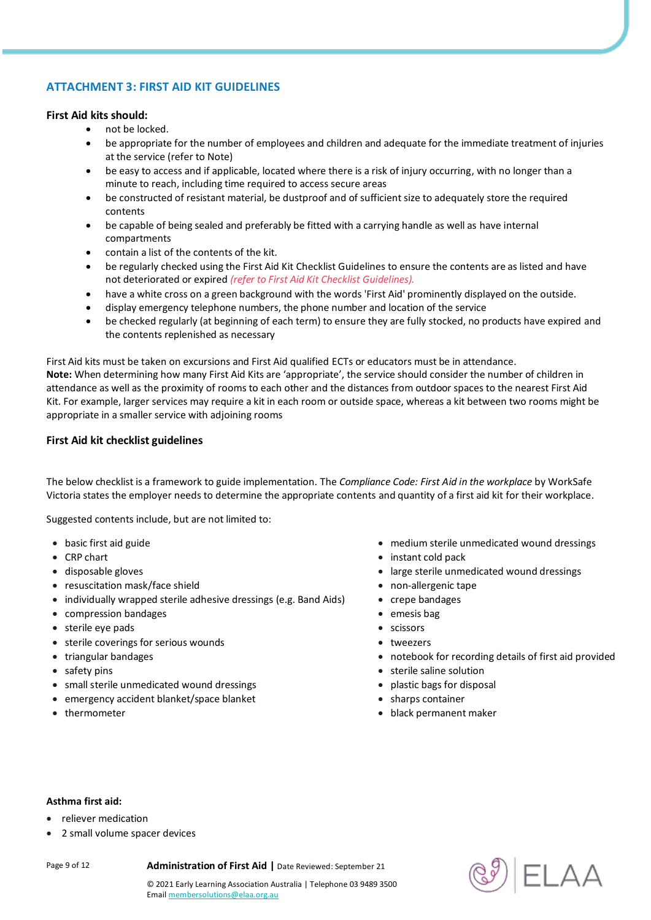## **ATTACHMENT 3: FIRST AID KIT GUIDELINES**

### **First Aid kits should:**

- not be locked.
- be appropriate for the number of employees and children and adequate for the immediate treatment of injuries at the service (refer to Note)
- be easy to access and if applicable, located where there is a risk of injury occurring, with no longer than a minute to reach, including time required to access secure areas
- be constructed of resistant material, be dustproof and of sufficient size to adequately store the required contents
- be capable of being sealed and preferably be fitted with a carrying handle as well as have internal compartments
- contain a list of the contents of the kit.
- be regularly checked using the First Aid Kit Checklist Guidelines to ensure the contents are as listed and have not deteriorated or expired *(refer to First Aid Kit Checklist Guidelines).*
- have a white cross on a green background with the words 'First Aid' prominently displayed on the outside.
- display emergency telephone numbers, the phone number and location of the service
- be checked regularly (at beginning of each term) to ensure they are fully stocked, no products have expired and the contents replenished as necessary

First Aid kits must be taken on excursions and First Aid qualified ECTs or educators must be in attendance. **Note:** When determining how many First Aid Kits are 'appropriate', the service should consider the number of children in attendance as well as the proximity of rooms to each other and the distances from outdoor spaces to the nearest First Aid Kit. For example, larger services may require a kit in each room or outside space, whereas a kit between two rooms might be appropriate in a smaller service with adjoining rooms

#### **First Aid kit checklist guidelines**

The below checklist is a framework to guide implementation. The *Compliance Code: First Aid in the workplace* by WorkSafe Victoria states the employer needs to determine the appropriate contents and quantity of a first aid kit for their workplace.

Suggested contents include, but are not limited to:

- 
- 
- 
- resuscitation mask/face shield  $\bullet$  non-allergenic tape
- individually wrapped sterile adhesive dressings (e.g. Band Aids) crepe bandages
- compression bandages **emesis bag**
- sterile eye pads **sterile exercise and the scissors scissors scissors**
- sterile coverings for serious wounds tweezers
- 
- 
- small sterile unmedicated wound dressings **plastic bags for disposal plastic bags for disposal**
- emergency accident blanket/space blanket sharps sharps container
- 
- basic first aid guide medium sterile unmedicated wound dressings
- CRP chart **instant cold pack instant cold pack instant cold pack instant cold pack**
- disposable gloves large sterile unmedicated wound dressings
	-
	-
	-
	-
	-
- triangular bandages notebook for recording details of first aid provided
- safety pins **sterile saline solution sterile saline solution sterile saline solution** 
	-
	-
- thermometer **black permanent maker black permanent maker black permanent maker**

#### **Asthma first aid:**

- reliever medication
- 2 small volume spacer devices

Page 9 of 12 **Administration of First Aid |** Date Reviewed: September 21

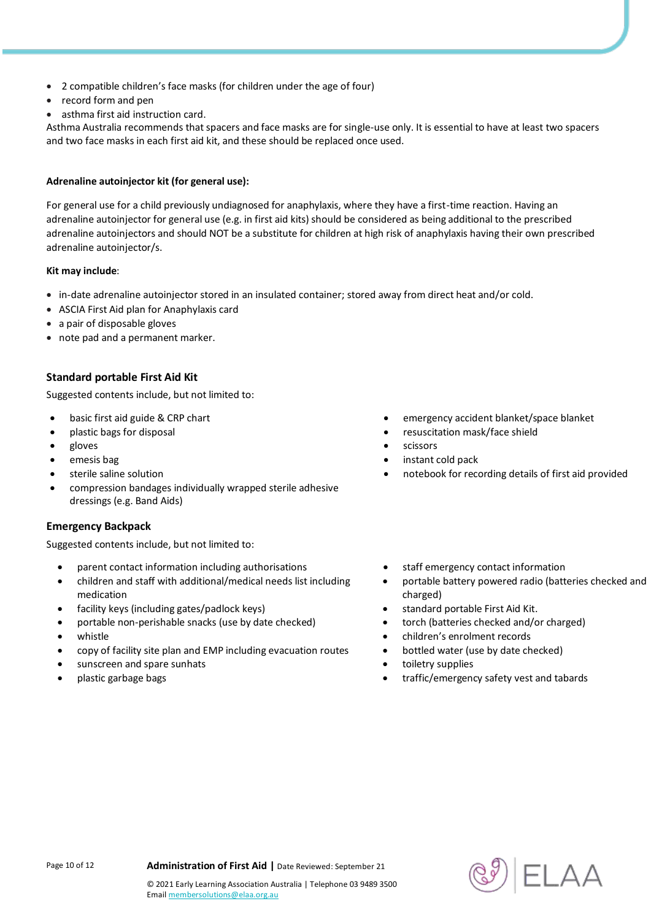- 2 compatible children's face masks (for children under the age of four)
- record form and pen
- asthma first aid instruction card.

Asthma Australia recommends that spacers and face masks are for single-use only. It is essential to have at least two spacers and two face masks in each first aid kit, and these should be replaced once used.

#### **Adrenaline autoinjector kit (for general use):**

For general use for a child previously undiagnosed for anaphylaxis, where they have a first-time reaction. Having an adrenaline autoinjector for general use (e.g. in first aid kits) should be considered as being additional to the prescribed adrenaline autoinjectors and should NOT be a substitute for children at high risk of anaphylaxis having their own prescribed adrenaline autoinjector/s.

#### **Kit may include**:

- in-date adrenaline autoinjector stored in an insulated container; stored away from direct heat and/or cold.
- ASCIA First Aid plan for Anaphylaxis card
- a pair of disposable gloves
- note pad and a permanent marker.

### **Standard portable First Aid Kit**

Suggested contents include, but not limited to:

- 
- 
- 
- 
- 
- compression bandages individually wrapped sterile adhesive dressings (e.g. Band Aids)

#### **Emergency Backpack**

Suggested contents include, but not limited to:

- parent contact information including authorisations **staff emergency contact information**
- children and staff with additional/medical needs list including medication
- facility keys (including gates/padlock keys) **standard portable First Aid Kit.**
- portable non-perishable snacks (use by date checked) **by** torch (batteries checked and/or charged)
- 
- copy of facility site plan and EMP including evacuation routes **•** bottled water (use by date checked)
- sunscreen and spare sunhats **the sunscreen and spare sunhats**  $\bullet$  toiletry supplies
- 
- basic first aid guide & CRP chart **emergency accident blanket/space blanket** 
	- plastic bags for disposal **results** and the set of the set of the set of the set of the shield
- gloves **scissors** 
	- emesis bag instant cold pack and the set of the set of the set of the set of the set of the set of the set of the set of the set of the set of the set of the set of the set of the set of the set of the set of the set of th
	- sterile saline solution notebook for recording details of first aid provided
		-
		- portable battery powered radio (batteries checked and charged)
		-
		-
		- whistle **children's enrolment records** 
			-
			-
		- plastic garbage bags **the contract of the contract of the contract of the contract of tabards**  $\bullet$  traffic/emergency safety vest and tabards



Emai[l membersolutions@elaa.org.au](mailto:membersolutions@elaa.org.au)

© 2021 Early Learning Association Australia | Telephone 03 9489 3500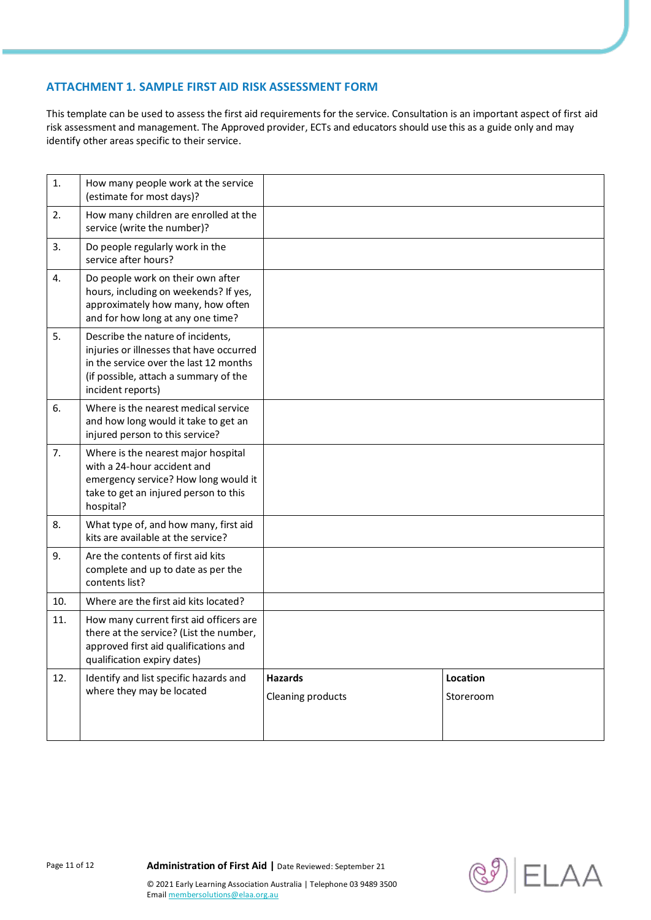## **ATTACHMENT 1. SAMPLE FIRST AID RISK ASSESSMENT FORM**

This template can be used to assess the first aid requirements for the service. Consultation is an important aspect of first aid risk assessment and management. The Approved provider, ECTs and educators should use this as a guide only and may identify other areas specific to their service.

| 1.             | How many people work at the service<br>(estimate for most days)?                                                                                                                      |                                     |                       |
|----------------|---------------------------------------------------------------------------------------------------------------------------------------------------------------------------------------|-------------------------------------|-----------------------|
| 2.             | How many children are enrolled at the<br>service (write the number)?                                                                                                                  |                                     |                       |
| 3.             | Do people regularly work in the<br>service after hours?                                                                                                                               |                                     |                       |
| 4.             | Do people work on their own after<br>hours, including on weekends? If yes,<br>approximately how many, how often<br>and for how long at any one time?                                  |                                     |                       |
| 5.             | Describe the nature of incidents,<br>injuries or illnesses that have occurred<br>in the service over the last 12 months<br>(if possible, attach a summary of the<br>incident reports) |                                     |                       |
| 6.             | Where is the nearest medical service<br>and how long would it take to get an<br>injured person to this service?                                                                       |                                     |                       |
| 7 <sub>1</sub> | Where is the nearest major hospital<br>with a 24-hour accident and<br>emergency service? How long would it<br>take to get an injured person to this<br>hospital?                      |                                     |                       |
| 8.             | What type of, and how many, first aid<br>kits are available at the service?                                                                                                           |                                     |                       |
| 9.             | Are the contents of first aid kits<br>complete and up to date as per the<br>contents list?                                                                                            |                                     |                       |
| 10.            | Where are the first aid kits located?                                                                                                                                                 |                                     |                       |
| 11.            | How many current first aid officers are<br>there at the service? (List the number,<br>approved first aid qualifications and<br>qualification expiry dates)                            |                                     |                       |
| 12.            | Identify and list specific hazards and<br>where they may be located                                                                                                                   | <b>Hazards</b><br>Cleaning products | Location<br>Storeroom |



Emai[l membersolutions@elaa.org.au](mailto:membersolutions@elaa.org.au)

© 2021 Early Learning Association Australia | Telephone 03 9489 3500